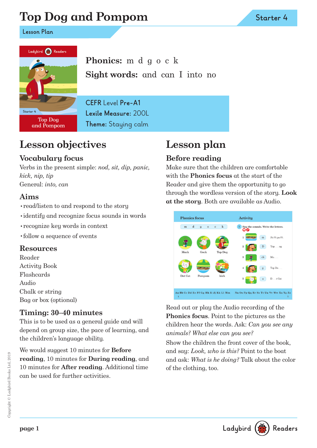# **Top Dog and Pompom**

**Lesson Plan**



**Phonics:** m d g o c k **Sight words:** and can I into no

**Top Dog** and Pompom **CEFR** Level **Pre-A1 Lexile Measure:** 200L **Theme:** Staying calm

## **Lesson objectives**

### **Vocabulary focus**

Verbs in the present simple: *nod, sit, dip, panic, kick, nip, tip* General: *into, can*

#### **Aims**

- •read/listen to and respond to the story
- •identify and recognize focus sounds in words
- •recognize key words in context
- •follow a sequence of events

#### **Resources**

Reader Activity Book Flashcards Audio Chalk or string Bag or box (optional)

#### **Timing: 30–40 minutes**

This is to be used as a general guide and will depend on group size, the pace of learning, and the children's language ability.

We would suggest 10 minutes for **Before reading**, 10 minutes for **During reading**, and 10 minutes for **After reading**. Additional time can be used for further activities.

## **Lesson plan**

## **Before reading**

Make sure that the children are comfortable with the **Phonics focus** at the start of the Reader and give them the opportunity to go through the wordless version of the story. **Look at the story**. Both are available as Audio.



Read out or play the Audio recording of the **Phonics focus**. Point to the pictures as the children hear the words. Ask: *Can you see any animals? What else can you see?* 

Show the children the front cover of the book, and say: *Look, who is this?* Point to the boat and ask: *What is he doing?* Talk about the color of the clothing, too.